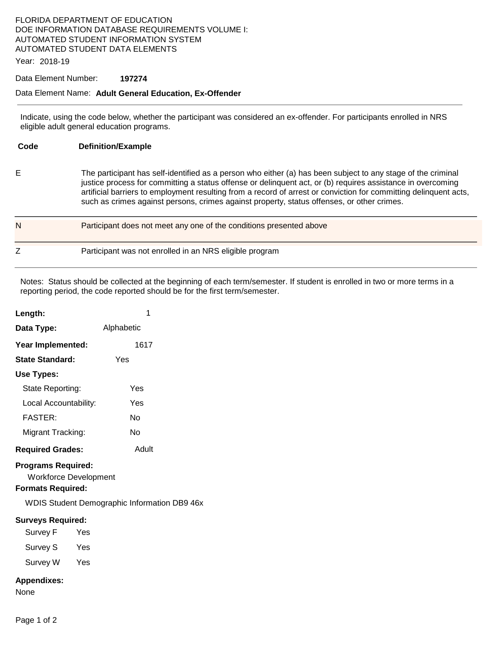### FLORIDA DEPARTMENT OF EDUCATION DOE INFORMATION DATABASE REQUIREMENTS VOLUME I: AUTOMATED STUDENT INFORMATION SYSTEM AUTOMATED STUDENT DATA ELEMENTS

Year: 2018-19

#### Data Element Number: **197274**

#### Data Element Name: **Adult General Education, Ex-Offender**

Indicate, using the code below, whether the participant was considered an ex-offender. For participants enrolled in NRS eligible adult general education programs.

| Code | <b>Definition/Example</b>                                                                                                                                                                                                                                                                                                                                                                                                                      |
|------|------------------------------------------------------------------------------------------------------------------------------------------------------------------------------------------------------------------------------------------------------------------------------------------------------------------------------------------------------------------------------------------------------------------------------------------------|
| Е    | The participant has self-identified as a person who either (a) has been subject to any stage of the criminal<br>justice process for committing a status offense or delinquent act, or (b) requires assistance in overcoming<br>artificial barriers to employment resulting from a record of arrest or conviction for committing delinquent acts,<br>such as crimes against persons, crimes against property, status offenses, or other crimes. |
| N    | Participant does not meet any one of the conditions presented above                                                                                                                                                                                                                                                                                                                                                                            |
| Ζ    | Participant was not enrolled in an NRS eligible program                                                                                                                                                                                                                                                                                                                                                                                        |

Notes: Status should be collected at the beginning of each term/semester. If student is enrolled in two or more terms in a reporting period, the code reported should be for the first term/semester.

| Length:                   |            |  |  |
|---------------------------|------------|--|--|
| Data Type:                | Alphabetic |  |  |
| Year Implemented:         | 1617       |  |  |
| State Standard:           | Yes        |  |  |
| Use Types:                |            |  |  |
| State Reporting:          | Yes        |  |  |
| Local Accountability:     | Yes        |  |  |
| <b>FASTER:</b>            | N٥         |  |  |
| Migrant Tracking:         | N٥         |  |  |
| <b>Required Grades:</b>   | Adult      |  |  |
| <b>Programs Required:</b> |            |  |  |

Workforce Development

### **Formats Required:**

WDIS Student Demographic Information DB9 46x

### **Surveys Required:**

Survey F Yes

Survey S Yes

Survey W Yes

### **Appendixes:**

None

Page 1 of 2